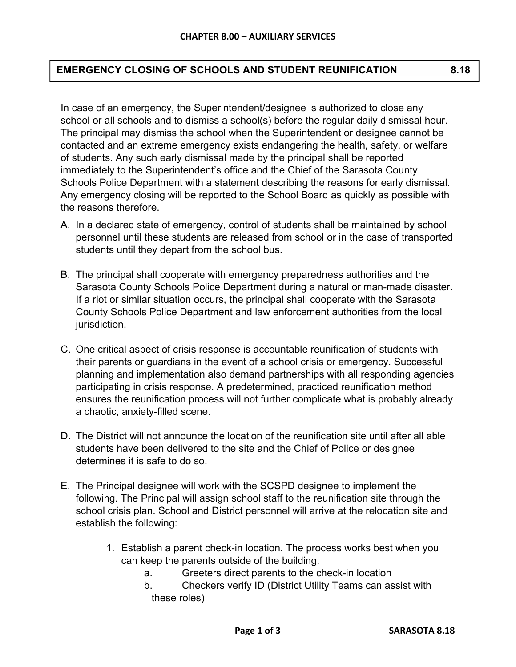## **EMERGENCY CLOSING OF SCHOOLS AND STUDENT REUNIFICATION 8.18**

In case of an emergency, the Superintendent/designee is authorized to close any school or all schools and to dismiss a school(s) before the regular daily dismissal hour. The principal may dismiss the school when the Superintendent or designee cannot be contacted and an extreme emergency exists endangering the health, safety, or welfare of students. Any such early dismissal made by the principal shall be reported immediately to the Superintendent's office and the Chief of the Sarasota County Schools Police Department with a statement describing the reasons for early dismissal. Any emergency closing will be reported to the School Board as quickly as possible with the reasons therefore.

- A. In a declared state of emergency, control of students shall be maintained by school personnel until these students are released from school or in the case of transported students until they depart from the school bus.
- B. The principal shall cooperate with emergency preparedness authorities and the Sarasota County Schools Police Department during a natural or man-made disaster. If a riot or similar situation occurs, the principal shall cooperate with the Sarasota County Schools Police Department and law enforcement authorities from the local jurisdiction.
- C. One critical aspect of crisis response is accountable reunification of students with their parents or guardians in the event of a school crisis or emergency. Successful planning and implementation also demand partnerships with all responding agencies participating in crisis response. A predetermined, practiced reunification method ensures the reunification process will not further complicate what is probably already a chaotic, anxiety-filled scene.
- D. The District will not announce the location of the reunification site until after all able students have been delivered to the site and the Chief of Police or designee determines it is safe to do so.
- E. The Principal designee will work with the SCSPD designee to implement the following. The Principal will assign school staff to the reunification site through the school crisis plan. School and District personnel will arrive at the relocation site and establish the following:
	- 1. Establish a parent check-in location. The process works best when you can keep the parents outside of the building.
		- a. Greeters direct parents to the check-in location
		- b. Checkers verify ID (District Utility Teams can assist with these roles)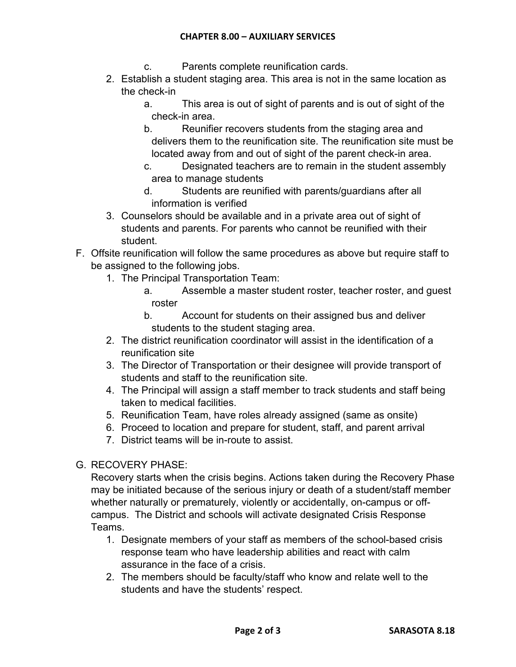## **CHAPTER 8.00 – AUXILIARY SERVICES**

- c. Parents complete reunification cards.
- 2. Establish a student staging area. This area is not in the same location as the check-in
	- a. This area is out of sight of parents and is out of sight of the check-in area.
	- b. Reunifier recovers students from the staging area and delivers them to the reunification site. The reunification site must be located away from and out of sight of the parent check-in area.
	- c. Designated teachers are to remain in the student assembly area to manage students
	- d. Students are reunified with parents/guardians after all information is verified
- 3. Counselors should be available and in a private area out of sight of students and parents. For parents who cannot be reunified with their student.
- F. Offsite reunification will follow the same procedures as above but require staff to be assigned to the following jobs.
	- 1. The Principal Transportation Team:
		- a. Assemble a master student roster, teacher roster, and guest roster
		- b. Account for students on their assigned bus and deliver students to the student staging area.
	- 2. The district reunification coordinator will assist in the identification of a reunification site
	- 3. The Director of Transportation or their designee will provide transport of students and staff to the reunification site.
	- 4. The Principal will assign a staff member to track students and staff being taken to medical facilities.
	- 5. Reunification Team, have roles already assigned (same as onsite)
	- 6. Proceed to location and prepare for student, staff, and parent arrival
	- 7. District teams will be in-route to assist.

## G. RECOVERY PHASE:

Recovery starts when the crisis begins. Actions taken during the Recovery Phase may be initiated because of the serious injury or death of a student/staff member whether naturally or prematurely, violently or accidentally, on-campus or offcampus. The District and schools will activate designated Crisis Response Teams.

- 1. Designate members of your staff as members of the school-based crisis response team who have leadership abilities and react with calm assurance in the face of a crisis.
- 2. The members should be faculty/staff who know and relate well to the students and have the students' respect.